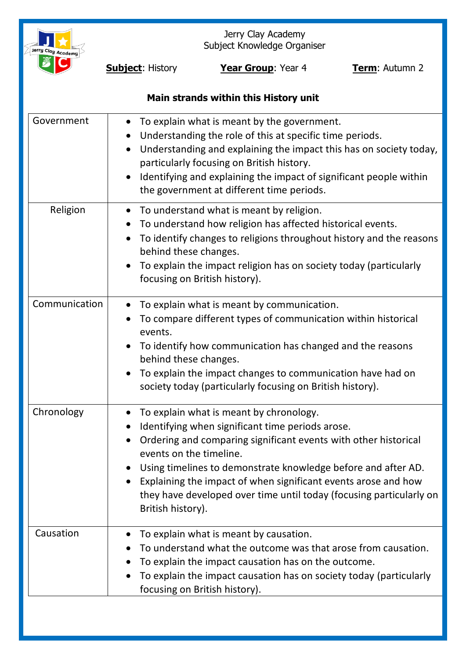

Jerry Clay Academy Subject Knowledge Organiser

**Subject:** History **Year Group**: Year 4 **Term**: Autumn 2

# **Main strands within this History unit**

| Government    | To explain what is meant by the government.<br>Understanding the role of this at specific time periods.<br>$\bullet$<br>Understanding and explaining the impact this has on society today,<br>$\bullet$<br>particularly focusing on British history.<br>Identifying and explaining the impact of significant people within<br>the government at different time periods.                                                  |
|---------------|--------------------------------------------------------------------------------------------------------------------------------------------------------------------------------------------------------------------------------------------------------------------------------------------------------------------------------------------------------------------------------------------------------------------------|
| Religion      | To understand what is meant by religion.<br>$\bullet$<br>To understand how religion has affected historical events.<br>To identify changes to religions throughout history and the reasons<br>behind these changes.<br>To explain the impact religion has on society today (particularly<br>focusing on British history).                                                                                                |
| Communication | To explain what is meant by communication.<br>To compare different types of communication within historical<br>events.<br>To identify how communication has changed and the reasons<br>behind these changes.<br>To explain the impact changes to communication have had on<br>society today (particularly focusing on British history).                                                                                  |
| Chronology    | To explain what is meant by chronology.<br>Identifying when significant time periods arose.<br>Ordering and comparing significant events with other historical<br>events on the timeline.<br>Using timelines to demonstrate knowledge before and after AD.<br>Explaining the impact of when significant events arose and how<br>they have developed over time until today (focusing particularly on<br>British history). |
| Causation     | To explain what is meant by causation.<br>To understand what the outcome was that arose from causation.<br>To explain the impact causation has on the outcome.<br>To explain the impact causation has on society today (particularly<br>focusing on British history).                                                                                                                                                    |